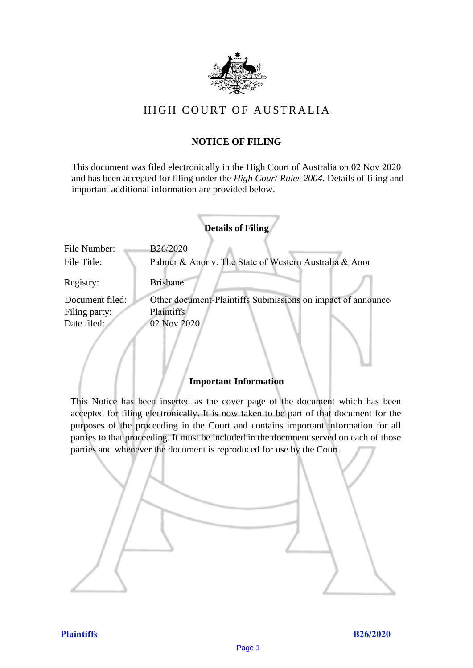

# HIGH COURT OF AUSTRALIA

# **NOTICE OF FILING**

This document was filed electronically in the High Court of Australia on 02 Nov 2020 and has been accepted for filing under the *High Court Rules 2004*. Details of filing and important additional information are provided below.

|                 | <b>Details of Filing</b>                                    |
|-----------------|-------------------------------------------------------------|
| File Number:    | B26/2020                                                    |
| File Title:     | Palmer & Anor v. The State of Western Australia & Anor      |
| Registry:       | <b>Brisbane</b>                                             |
| Document filed: | Other document-Plaintiffs Submissions on impact of announce |
| Filing party:   | <b>Plaintiffs</b>                                           |
| Date filed:     | 02 Nov 2020                                                 |
|                 |                                                             |
|                 |                                                             |

## **Important Information**

This Notice has been inserted as the cover page of the document which has been accepted for filing electronically. It is now taken to be part of that document for the purposes of the proceeding in the Court and contains important information for all parties to that proceeding. It must be included in the document served on each of those parties and whenever the document is reproduced for use by the Court.

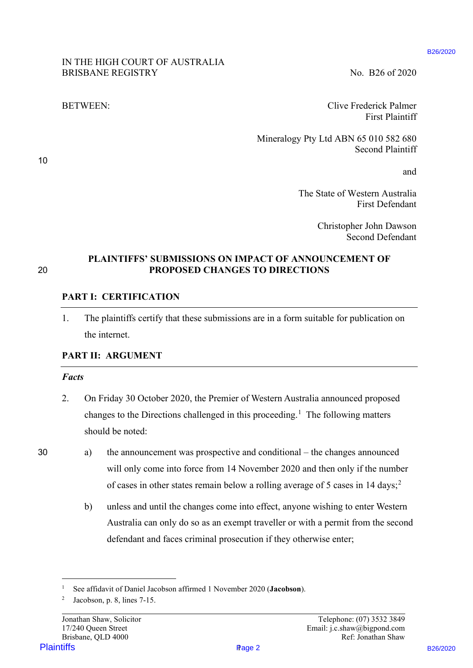## IN THE HIGH COURT OF AUSTRALIA BRISBANE REGISTRY No. B26 of 2020

BETWEEN: Clive Frederick Palmer First Plaintiff

> Mineralogy Pty Ltd ABN 65 010 582 680 Second Plaintiff

> > and

The State of Western Australia First Defendant

> Christopher John Dawson Second Defendant

10

### **PLAINTIFFS' SUBMISSIONS ON IMPACT OF ANNOUNCEMENT OF**  20 **PROPOSED CHANGES TO DIRECTIONS**

### **PART I: CERTIFICATION**

1. The plaintiffs certify that these submissions are in a form suitable for publication on the internet.

## **PART II: ARGUMENT**

#### *Facts*

- 2. On Friday 30 October 2020, the Premier of Western Australia announced proposed changes to the Directions challenged in this proceeding.<sup>1</sup> The following matters should be noted: **PLAINTIFFS' STEMATIA SECTION SECTION SECTION SECTION SET (SECTION SECTION SECTION SECTION SECTION SECTION SECTION SECTION SECTION SECTION SECTION SECTION SECTION SECTION SECTION SECTION SECTION SECTION SECTION SECTION SE**
- 30 a) the announcement was prospective and conditional the changes announced will only come into force from 14 November 2020 and then only if the number of cases in other states remain below a rolling average of 5 cases in 14 days;<sup>2</sup>
	- b) unless and until the changes come into effect, anyone wishing to enter Western Australia can only do so as an exempt traveller or with a permit from the second defendant and faces criminal prosecution if they otherwise enter;

Page 2

<sup>1</sup> See affidavit of Daniel Jacobson affirmed 1 November 2020 (**Jacobson**).

<sup>&</sup>lt;sup>2</sup> Jacobson, p. 8, lines  $7-15$ .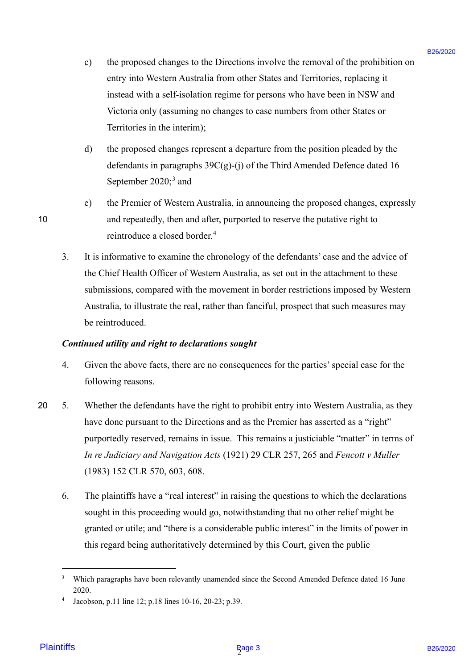- c) the proposed changes to the Directions involve the removal of the prohibition on entry into Western Australia from other States and Territories, replacing it instead with a self-isolation regime for persons who have been in NSW and Victoria only (assuming no changes to case numbers from other States or Territories in the interim);
- d) the proposed changes represent a departure from the position pleaded by the defendants in paragraphs  $39C(g)-(i)$  of the Third Amended Defence dated 16 September 2020;<sup>3</sup> and
- e) the Premier of Western Australia, in announcing the proposed changes, expressly 10 and repeatedly, then and after, purported to reserve the putative right to reintroduce a closed border.<sup>4</sup>
	- 3. It is informative to examine the chronology of the defendants' case and the advice of the Chief Health Officer of Western Australia, as set out in the attachment to these submissions, compared with the movement in border restrictions imposed by Western Australia, to illustrate the real, rather than fanciful, prospect that such measures may be reintroduced.

#### *Continued utility and right to declarations sought*

- 4. Given the above facts, there are no consequences for the parties' special case for the following reasons.
- 20 5. Whether the defendants have the right to prohibit entry into Western Australia, as they have done pursuant to the Directions and as the Premier has asserted as a "right" purportedly reserved, remains in issue. This remains a justiciable "matter" in terms of *In re Judiciary and Navigation Acts* (1921) 29 CLR 257, 265 and *Fencott v Muller*  (1983) 152 CLR 570, 603, 608. o) the propased changes to the Diecenios involve the connoral of the probibition on<br>enery win Western Arcticlul inter refers Sustains (Feriomer), replecting the<br>distribution of the system of the system of the system of th
	- 6. The plaintiffs have a "real interest" in raising the questions to which the declarations sought in this proceeding would go, notwithstanding that no other relief might be granted or utile; and "there is a considerable public interest" in the limits of power in this regard being authoritatively determined by this Court, given the public

<sup>&</sup>lt;sup>3</sup> Which paragraphs have been relevantly unamended since the Second Amended Defence dated 16 June 2020.

Jacobson, p.11 line 12; p.18 lines 10-16, 20-23; p.39.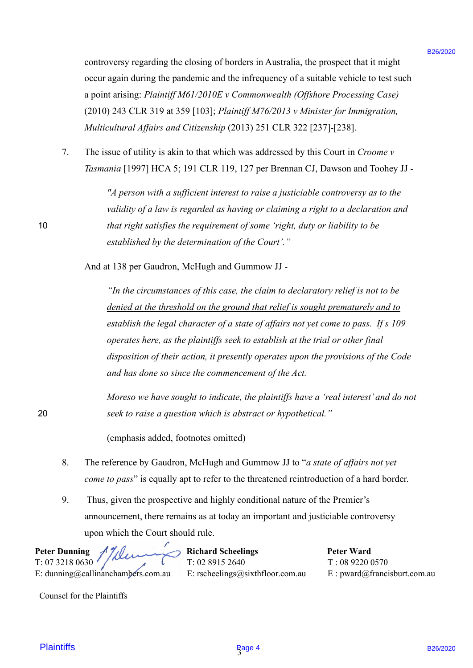controversy regarding the closing of borders in Australia, the prospect that it might occur again during the pandemic and the infrequency of a suitable vehicle to test such a point arising: *Plaintiff M61/2010E v Commonwealth (Offshore Processing Case)*  (2010) 243 CLR 319 at 359 [103]; *Plaintiff M76/2013 v Minister for Immigration, Multicultural Affairs and Citizenship* (2013) 251 CLR 322 [237]-[238].

7. The issue of utility is akin to that which was addressed by this Court in *Croome v Tasmania* [1997] HCA 5; 191 CLR 119, 127 per Brennan CJ, Dawson and Toohey JJ -

*"A person with a sufficient interest to raise a justiciable controversy as to the validity of a law is regarded as having or claiming a right to a declaration and*  10 *that right satisfies the requirement of some 'right, duty or liability to be established by the determination of the Court'."*

And at 138 per Gaudron, McHugh and Gummow JJ -

*"In the circumstances of this case, the claim to declaratory relief is not to be denied at the threshold on the ground that relief is sought prematurely and to establish the legal character of a state of affairs not yet come to pass. If s 109 operates here, as the plaintiffs seek to establish at the trial or other final disposition of their action, it presently operates upon the provisions of the Code and has done so since the commencement of the Act.* controvary regarding the choing of borden in Australia. the prospect that is algibe<br>
excert agent during the periodic and the trivelences of the attention the velocity and the state is the state<br>
a point arising *Plassin* 

*Moreso we have sought to indicate, the plaintiffs have a 'real interest' and do not*  20 *seek to raise a question which is abstract or hypothetical."*

(emphasis added, footnotes omitted)

- 8. The reference by Gaudron, McHugh and Gummow JJ to "*a state of affairs not yet come to pass*" is equally apt to refer to the threatened reintroduction of a hard border.
- 9. Thus, given the prospective and highly conditional nature of the Premier's announcement, there remains as at today an important and justiciable controversy upon which the Court should rule.

| Peter Dunning $1/\sqrt{2}$<br>T: 07 3218 0630 |                                  | <b>Peter Ward</b>             |
|-----------------------------------------------|----------------------------------|-------------------------------|
|                                               |                                  | T: 0892200570                 |
| E: dunning@callinanchambers.com.au            | E: rscheelings@sixthfloor.com.au | $E:$ pward@francisburt.com.au |

Counsel for the Plaintiffs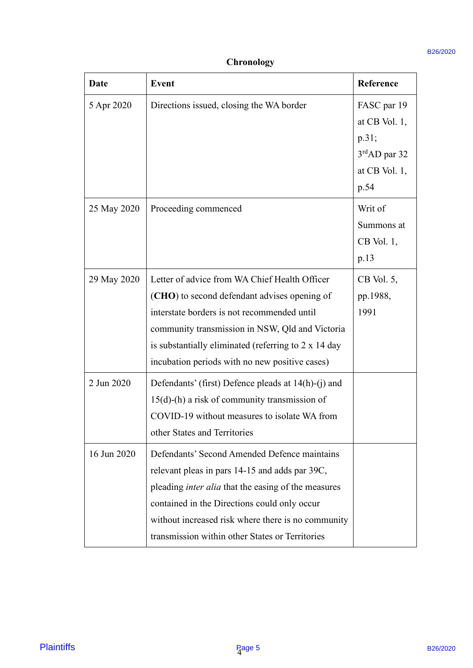# **Chronology**

| <b>Date</b> | <b>Event</b>                                                                                                                                                                                                                                                                                                     | Reference                                                                              |
|-------------|------------------------------------------------------------------------------------------------------------------------------------------------------------------------------------------------------------------------------------------------------------------------------------------------------------------|----------------------------------------------------------------------------------------|
| 5 Apr 2020  | Directions issued, closing the WA border                                                                                                                                                                                                                                                                         | FASC par 19<br>at CB Vol. $1$ ,<br>p.31;<br>$3rdAD$ par 32<br>at CB Vol. $1$ ,<br>p.54 |
| 25 May 2020 | Proceeding commenced                                                                                                                                                                                                                                                                                             | Writ of<br>Summons at<br>$CB$ Vol. 1,<br>p.13                                          |
| 29 May 2020 | Letter of advice from WA Chief Health Officer<br>(CHO) to second defendant advises opening of<br>interstate borders is not recommended until<br>community transmission in NSW, Qld and Victoria<br>is substantially eliminated (referring to $2 \times 14$ day<br>incubation periods with no new positive cases) | $CB$ Vol. 5,<br>pp.1988,<br>1991                                                       |
| 2 Jun 2020  | Defendants' (first) Defence pleads at 14(h)-(j) and<br>$15(d)$ -(h) a risk of community transmission of<br>COVID-19 without measures to isolate WA from<br>other States and Territories                                                                                                                          |                                                                                        |
| 16 Jun 2020 | Defendants' Second Amended Defence maintains<br>relevant pleas in pars 14-15 and adds par 39C,<br>pleading inter alia that the easing of the measures<br>contained in the Directions could only occur<br>without increased risk where there is no community<br>transmission within other States or Territories   |                                                                                        |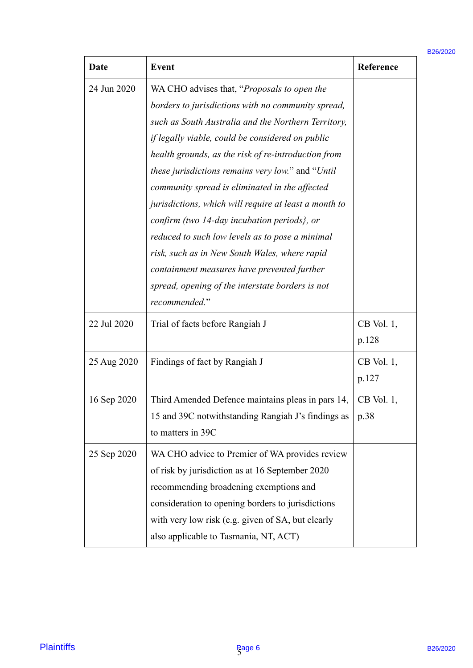| Date        | <b>Event</b>                                                                                                                                                                                                                                                                                                                                                                                                                                                                                                                                                                                                                                                                                                               | Reference             |
|-------------|----------------------------------------------------------------------------------------------------------------------------------------------------------------------------------------------------------------------------------------------------------------------------------------------------------------------------------------------------------------------------------------------------------------------------------------------------------------------------------------------------------------------------------------------------------------------------------------------------------------------------------------------------------------------------------------------------------------------------|-----------------------|
| 24 Jun 2020 | WA CHO advises that, "Proposals to open the<br>borders to jurisdictions with no community spread,<br>such as South Australia and the Northern Territory,<br>if legally viable, could be considered on public<br>health grounds, as the risk of re-introduction from<br><i>these jurisdictions remains very low.</i> " and " <i>Until</i><br>community spread is eliminated in the affected<br>jurisdictions, which will require at least a month to<br>confirm (two 14-day incubation periods), or<br>reduced to such low levels as to pose a minimal<br>risk, such as in New South Wales, where rapid<br>containment measures have prevented further<br>spread, opening of the interstate borders is not<br>recommended." |                       |
| 22 Jul 2020 | Trial of facts before Rangiah J                                                                                                                                                                                                                                                                                                                                                                                                                                                                                                                                                                                                                                                                                            | $CB$ Vol. 1,<br>p.128 |
| 25 Aug 2020 | Findings of fact by Rangiah J                                                                                                                                                                                                                                                                                                                                                                                                                                                                                                                                                                                                                                                                                              | $CB$ Vol. 1,<br>p.127 |
| 16 Sep 2020 | Third Amended Defence maintains pleas in pars 14,<br>15 and 39C notwithstanding Rangiah J's findings as<br>to matters in 39C                                                                                                                                                                                                                                                                                                                                                                                                                                                                                                                                                                                               | $CB$ Vol. 1,<br>p.38  |
| 25 Sep 2020 | WA CHO advice to Premier of WA provides review<br>of risk by jurisdiction as at 16 September 2020<br>recommending broadening exemptions and<br>consideration to opening borders to jurisdictions<br>with very low risk (e.g. given of SA, but clearly                                                                                                                                                                                                                                                                                                                                                                                                                                                                      |                       |